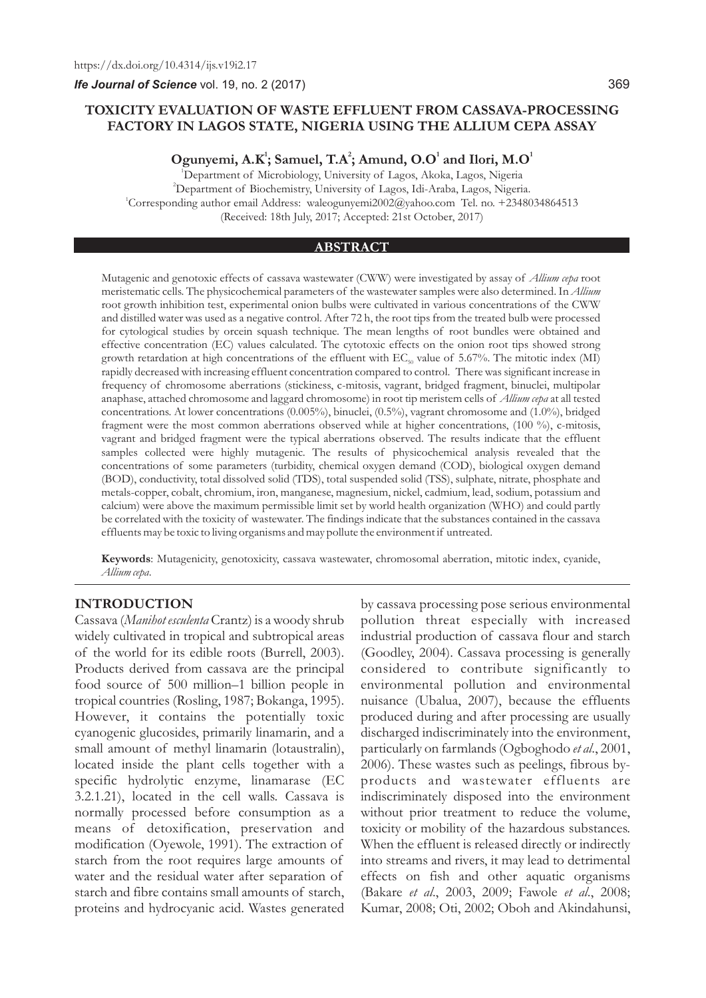*Ife Journal of Science* vol. 19, no. 2 (2017)

# **TOXICITY EVALUATION OF WASTE EFFLUENT FROM CASSAVA-PROCESSING FACTORY IN LAGOS STATE, NIGERIA USING THE ALLIUM CEPA ASSAY**

**<sup>1</sup> <sup>2</sup> <sup>1</sup> <sup>1</sup> Ogunyemi, A.K ; Samuel, T.A ; Amund, O.O and Ilori, M.O**

<sup>1</sup>Department of Microbiology, University of Lagos, Akoka, Lagos, Nigeria <sup>2</sup>Department of Biochemistry, University of Lagos, Idi-Araba, Lagos, Nigeria. 1 Corresponding author email Address: waleogunyemi2002@yahoo.com Tel. no. +2348034864513 (Received: 18th July, 2017; Accepted: 21st October, 2017)

#### **ABSTRACT**

Mutagenic and genotoxic effects of cassava wastewater (CWW) were investigated by assay of *Allium cepa* root meristematic cells. The physicochemical parameters of the wastewater samples were also determined. In *Allium* root growth inhibition test, experimental onion bulbs were cultivated in various concentrations of the CWW and distilled water was used as a negative control. After 72 h, the root tips from the treated bulb were processed for cytological studies by orcein squash technique. The mean lengths of root bundles were obtained and effective concentration (EC) values calculated. The cytotoxic effects on the onion root tips showed strong growth retardation at high concentrations of the effluent with  $EC_{\rm so}$  value of 5.67%. The mitotic index (MI) rapidly decreased with increasing effluent concentration compared to control. There was significant increase in frequency of chromosome aberrations (stickiness, c-mitosis, vagrant, bridged fragment, binuclei, multipolar anaphase, attached chromosome and laggard chromosome) in root tip meristem cells of *Allium cepa* at all tested concentrations. At lower concentrations (0.005%), binuclei, (0.5%), vagrant chromosome and (1.0%), bridged fragment were the most common aberrations observed while at higher concentrations, (100 %), c-mitosis, vagrant and bridged fragment were the typical aberrations observed. The results indicate that the effluent samples collected were highly mutagenic. The results of physicochemical analysis revealed that the concentrations of some parameters (turbidity, chemical oxygen demand (COD), biological oxygen demand (BOD), conductivity, total dissolved solid (TDS), total suspended solid (TSS), sulphate, nitrate, phosphate and metals-copper, cobalt, chromium, iron, manganese, magnesium, nickel, cadmium, lead, sodium, potassium and calcium) were above the maximum permissible limit set by world health organization (WHO) and could partly be correlated with the toxicity of wastewater. The findings indicate that the substances contained in the cassava effluents may be toxic to living organisms and may pollute the environment if untreated.

**Keywords**: Mutagenicity, genotoxicity, cassava wastewater, chromosomal aberration, mitotic index, cyanide, *Allium cepa*.

## **INTRODUCTION**

Cassava (*Manihot esculenta* Crantz) is a woody shrub widely cultivated in tropical and subtropical areas of the world for its edible roots (Burrell, 2003). Products derived from cassava are the principal food source of 500 million–1 billion people in tropical countries (Rosling, 1987; Bokanga, 1995). However, it contains the potentially toxic cyanogenic glucosides, primarily linamarin, and a small amount of methyl linamarin (lotaustralin), located inside the plant cells together with a specific hydrolytic enzyme, linamarase (EC 3.2.1.21), located in the cell walls. Cassava is normally processed before consumption as a means of detoxification, preservation and modification (Oyewole, 1991). The extraction of starch from the root requires large amounts of water and the residual water after separation of starch and fibre contains small amounts of starch, proteins and hydrocyanic acid. Wastes generated

by cassava processing pose serious environmental pollution threat especially with increased industrial production of cassava flour and starch (Goodley, 2004). Cassava processing is generally considered to contribute significantly to environmental pollution and environmental nuisance (Ubalua, 2007), because the effluents produced during and after processing are usually discharged indiscriminately into the environment, particularly on farmlands (Ogboghodo *et al*., 2001, 2006). These wastes such as peelings, fibrous byproducts and wastewater effluents are indiscriminately disposed into the environment without prior treatment to reduce the volume, toxicity or mobility of the hazardous substances. When the effluent is released directly or indirectly into streams and rivers, it may lead to detrimental effects on fish and other aquatic organisms (Bakare *et al*., 2003, 2009; Fawole *et al*., 2008; Kumar, 2008; Oti, 2002; Oboh and Akindahunsi,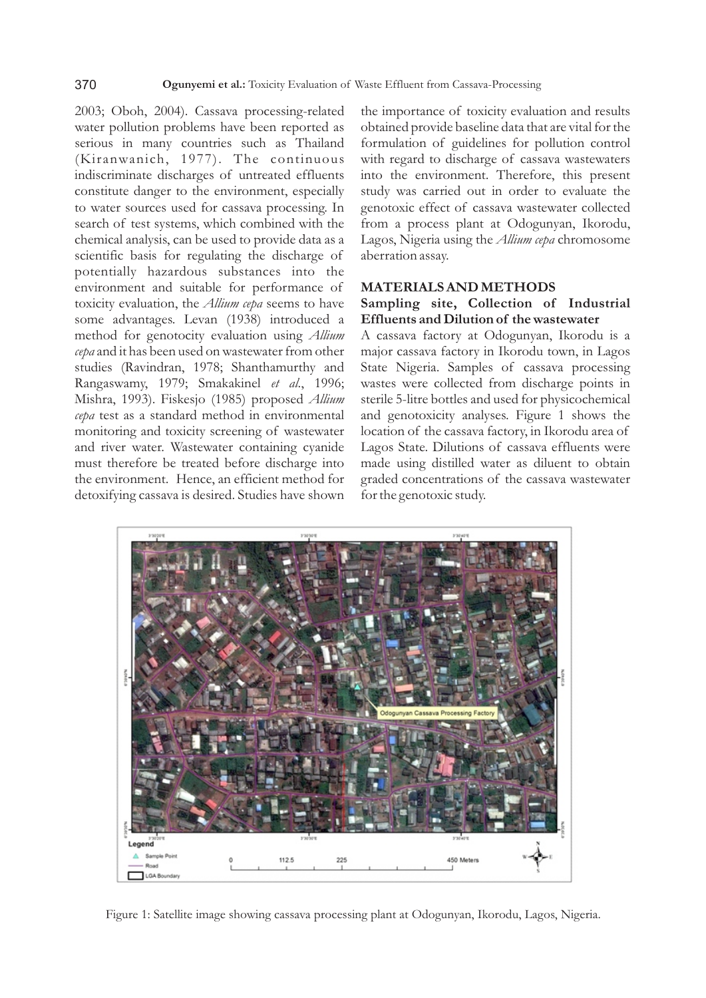2003; Oboh, 2004). Cassava processing-related water pollution problems have been reported as serious in many countries such as Thailand (Kiranwanich, 1977). The continuous indiscriminate discharges of untreated effluents constitute danger to the environment, especially to water sources used for cassava processing. In search of test systems, which combined with the chemical analysis, can be used to provide data as a scientific basis for regulating the discharge of potentially hazardous substances into the environment and suitable for performance of toxicity evaluation, the *Allium cepa* seems to have some advantages. Levan (1938) introduced a method for genotocity evaluation using *Allium cepa* and it has been used on wastewater from other studies (Ravindran, 1978; Shanthamurthy and Rangaswamy, 1979; Smakakinel *et al*., 1996; Mishra, 1993). Fiskesjo (1985) proposed *Allium cepa* test as a standard method in environmental monitoring and toxicity screening of wastewater and river water. Wastewater containing cyanide must therefore be treated before discharge into the environment. Hence, an efficient method for detoxifying cassava is desired. Studies have shown

the importance of toxicity evaluation and results obtained provide baseline data that are vital for the formulation of guidelines for pollution control with regard to discharge of cassava wastewaters into the environment. Therefore, this present study was carried out in order to evaluate the genotoxic effect of cassava wastewater collected from a process plant at Odogunyan, Ikorodu, Lagos, Nigeria using the *Allium cepa* chromosome aberration assay.

# **MATERIALS AND METHODS Sampling site, Collection of Industrial**

**Effluents and Dilution of the wastewater** A cassava factory at Odogunyan, Ikorodu is a major cassava factory in Ikorodu town, in Lagos State Nigeria. Samples of cassava processing wastes were collected from discharge points in sterile 5-litre bottles and used for physicochemical and genotoxicity analyses. Figure 1 shows the location of the cassava factory, in Ikorodu area of Lagos State. Dilutions of cassava effluents were made using distilled water as diluent to obtain graded concentrations of the cassava wastewater for the genotoxic study.



Figure 1: Satellite image showing cassava processing plant at Odogunyan, Ikorodu, Lagos, Nigeria.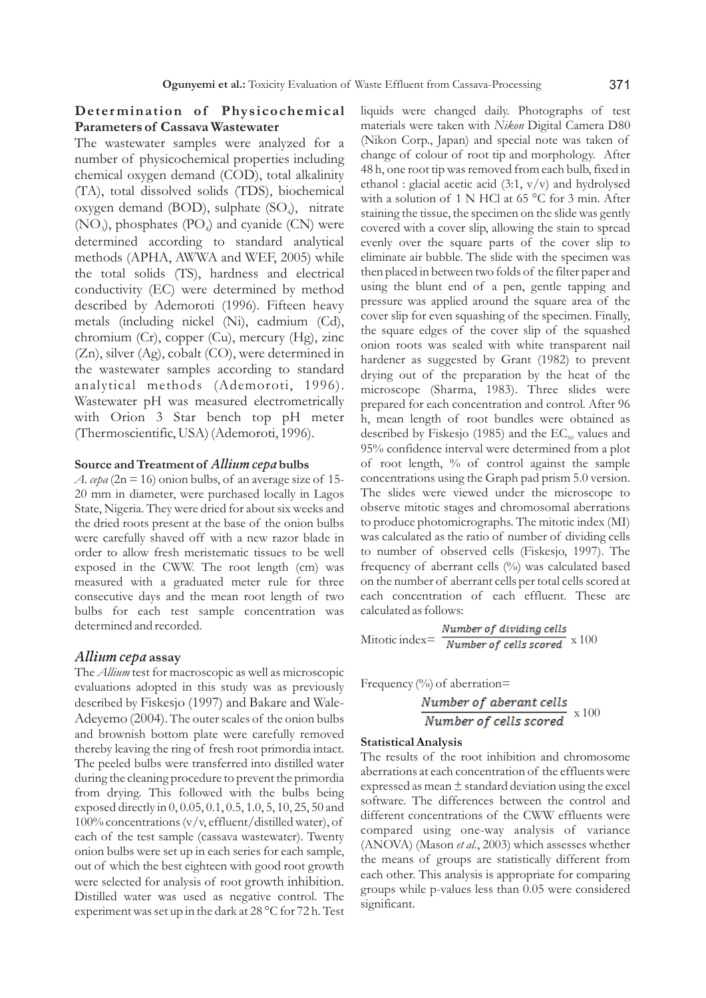# **Deter mination of Phys icochemical Parameters of Cassava Wastewater**

The wastewater samples were analyzed for a number of physicochemical properties including chemical oxygen demand (COD), total alkalinity (TA), total dissolved solids (TDS), biochemical oxygen demand (BOD), sulphate  $(SO_4)$ , nitrate  $(NO<sub>3</sub>)$ , phosphates  $(PO<sub>4</sub>)$  and cyanide  $(CN)$  were determined according to standard analytical methods (APHA, AWWA and WEF, 2005) while the total solids (TS), hardness and electrical conductivity (EC) were determined by method described by Ademoroti (1996). Fifteen heavy metals (including nickel (Ni), cadmium (Cd), chromium (Cr), copper (Cu), mercury (Hg), zinc (Zn), silver (Ag), cobalt (CO), were determined in the wastewater samples according to standard analytical methods (Ademoroti, 1996). Wastewater pH was measured electrometrically with Orion 3 Star bench top pH meter (Thermoscientific, USA) (Ademoroti, 1996).

#### **Source and Treatment of** *Allium cepa* **bulbs**

*A. cepa* ( $2n = 16$ ) onion bulbs, of an average size of 15-20 mm in diameter, were purchased locally in Lagos State, Nigeria. They were dried for about six weeks and the dried roots present at the base of the onion bulbs were carefully shaved off with a new razor blade in order to allow fresh meristematic tissues to be well exposed in the CWW. The root length (cm) was measured with a graduated meter rule for three consecutive days and the mean root length of two bulbs for each test sample concentration was determined and recorded.

### *Allium cepa* **assay**

The *Allium* test for macroscopic as well as microscopic evaluations adopted in this study was as previously described by Fiskesjo (1997) and Bakare and Wale-Adeyemo (2004). The outer scales of the onion bulbs and brownish bottom plate were carefully removed thereby leaving the ring of fresh root primordia intact. The peeled bulbs were transferred into distilled water during the cleaning procedure to prevent the primordia from drying. This followed with the bulbs being exposed directly in 0, 0.05, 0.1, 0.5, 1.0, 5, 10, 25, 50 and 100% concentrations (v/v, effluent/distilled water), of each of the test sample (cassava wastewater). Twenty onion bulbs were set up in each series for each sample, out of which the best eighteen with good root growth were selected for analysis of root growth inhibition. Distilled water was used as negative control. The experiment was set up in the dark at 28 °C for 72 h. Test

liquids were changed daily. Photographs of test materials were taken with *Nikon* Digital Camera D80 (Nikon Corp., Japan) and special note was taken of change of colour of root tip and morphology. After 48 h, one root tip was removed from each bulb, fixed in ethanol : glacial acetic acid  $(3:1, v/v)$  and hydrolysed with a solution of 1 N HCl at 65 °C for 3 min. After staining the tissue, the specimen on the slide was gently covered with a cover slip, allowing the stain to spread evenly over the square parts of the cover slip to eliminate air bubble. The slide with the specimen was then placed in between two folds of the filter paper and using the blunt end of a pen, gentle tapping and pressure was applied around the square area of the cover slip for even squashing of the specimen. Finally, the square edges of the cover slip of the squashed onion roots was sealed with white transparent nail hardener as suggested by Grant (1982) to prevent drying out of the preparation by the heat of the microscope (Sharma, 1983). Three slides were prepared for each concentration and control. After 96 h, mean length of root bundles were obtained as described by Fiskesjo (1985) and the  $EC_{50}$  values and 95% confidence interval were determined from a plot of root length, % of control against the sample concentrations using the Graph pad prism 5.0 version. The slides were viewed under the microscope to observe mitotic stages and chromosomal aberrations to produce photomicrographs. The mitotic index (MI) was calculated as the ratio of number of dividing cells to number of observed cells (Fiskesjo, 1997). The frequency of aberrant cells (%) was calculated based on the number of aberrant cells per total cells scored at each concentration of each effluent. These are calculated as follows:

$$
Mitotic index = \frac{Number of dividing cells}{Number of cells scored} \times 100
$$

Frequency  $\left(\frac{0}{0}\right)$  of aberration=

Number of aberrant cells  
Number of cells scored 
$$
x
$$
 100

#### **Statistical Analysis**

The results of the root inhibition and chromosome aberrations at each concentration of the effluents were expressed as mean ± standard deviation using the excel software. The differences between the control and different concentrations of the CWW effluents were compared using one-way analysis of variance (ANOVA) (Mason *et al*., 2003) which assesses whether the means of groups are statistically different from each other. This analysis is appropriate for comparing groups while p-values less than 0.05 were considered significant.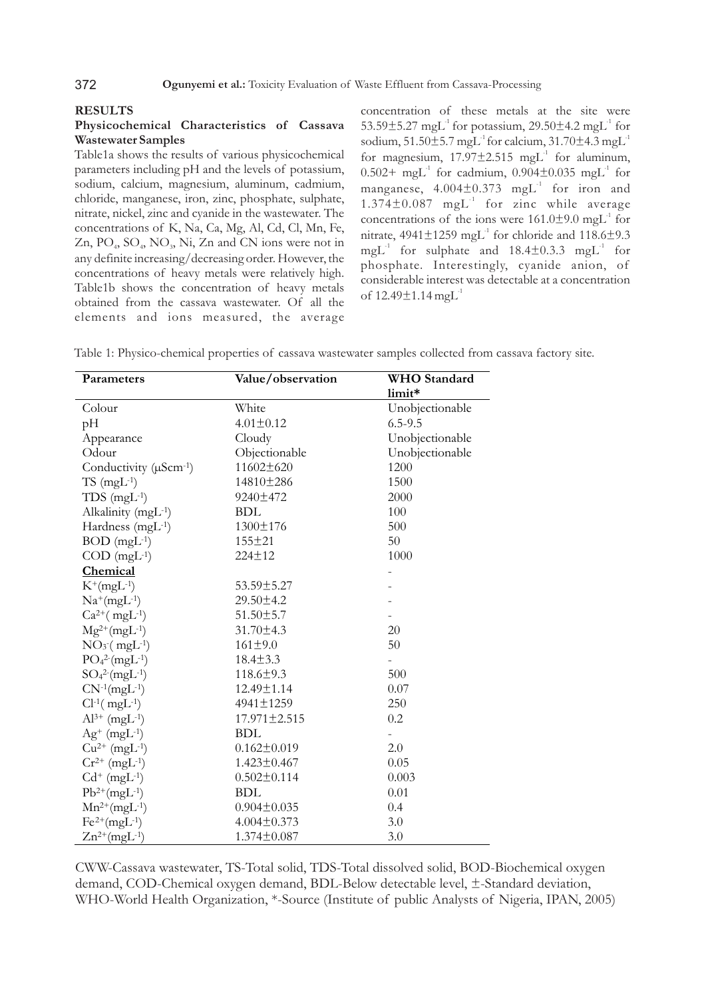#### **RESULTS**

## **Physicochemical Characteristics of Cassava Wastewater Samples**

Table1a shows the results of various physicochemical parameters including pH and the levels of potassium, sodium, calcium, magnesium, aluminum, cadmium, chloride, manganese, iron, zinc, phosphate, sulphate, nitrate, nickel, zinc and cyanide in the wastewater. The concentrations of K, Na, Ca, Mg, Al, Cd, Cl, Mn, Fe,  $Zn$ ,  $PO<sub>4</sub>$ ,  $SO<sub>4</sub>$ ,  $NO<sub>3</sub>$ ,  $Ni$ ,  $Zn$  and  $CN$  ions were not in any definite increasing/decreasing order. However, the concentrations of heavy metals were relatively high. Table1b shows the concentration of heavy metals obtained from the cassava wastewater. Of all the elements and ions measured, the average concentration of these metals at the site were  $53.59\pm5.27$  mgL<sup>-1</sup> for potassium,  $29.50\pm4.2$  mgL<sup>-1</sup> for sodium,  $51.50\pm5.7$  mgL<sup>-1</sup> for calcium,  $31.70\pm4.3$  mgL<sup>-1</sup> for magnesium,  $17.97\pm2.515$  mgL<sup>-1</sup> for aluminum,  $0.502 + \text{ mgL}^1$  for cadmium,  $0.904 \pm 0.035$  mgL<sup>1</sup> for manganese,  $4.004\pm0.373$  mgL<sup>-1</sup> for iron and  $1.374\pm0.087$  mgL<sup>-1</sup> for zinc while average concentrations of the ions were  $161.0\pm9.0$  mgL<sup>-1</sup> for nitrate,  $4941 \pm 1259$  mgL<sup>-1</sup> for chloride and  $118.6 \pm 9.3$  $mgl<sup>-1</sup>$  for sulphate and 18.4 $\pm$ 0.3.3 mgL<sup>-1</sup> for phosphate. Interestingly, cyanide anion, of considerable interest was detectable at a concentration of  $12.49 \pm 1.14$  mgL<sup>-1</sup>

Table 1: Physico-chemical properties of cassava wastewater samples collected from cassava factory site.

| <b>Parameters</b>                 | Value/observation  | <b>WHO</b> Standard      |  |  |
|-----------------------------------|--------------------|--------------------------|--|--|
|                                   |                    | limit*                   |  |  |
| Colour                            | White              | Unobjectionable          |  |  |
| pH                                | $4.01 \pm 0.12$    | $6.5 - 9.5$              |  |  |
| Appearance                        | Cloudy             | Unobjectionable          |  |  |
| Odour                             | Objectionable      | Unobjectionable          |  |  |
| Conductivity $(\mu \text{Scm-1})$ | 11602±620          | 1200                     |  |  |
| $TS$ (mgL $^{-1}$ )               | 14810±286          | 1500                     |  |  |
| $TDS$ (mgL <sup>-1</sup> )        | 9240±472           | 2000                     |  |  |
| Alkalinity (mgL-1)                | <b>BDL</b>         | 100                      |  |  |
| Hardness (mgL-1)                  | 1300±176           | 500                      |  |  |
| $BOD$ (mgL $^{-1}$ )              | $155 \pm 21$       | 50                       |  |  |
| $COD$ (mgL <sup>-1</sup> )        | 224±12             | 1000                     |  |  |
| Chemical                          |                    |                          |  |  |
| $K^{+}(mgL^{-1})$                 | 53.59±5.27         |                          |  |  |
| $Na^{+}(mgL^{-1})$                | 29.50±4.2          |                          |  |  |
| $Ca^{2+}$ (mgL <sup>-1</sup> )    | $51.50 \pm 5.7$    |                          |  |  |
| $Mg^{2+}(mgL^{-1})$               | 31.70±4.3          | 20                       |  |  |
| $NO_3$ (mgL <sup>-1</sup> )       | $161 + 9.0$        | 50                       |  |  |
| $PO_4^2$ -(mgL <sup>-1</sup> )    | $18.4 \pm 3.3$     | $\overline{\phantom{0}}$ |  |  |
| $SO_4^{2-}(mgL^{-1})$             | 118.6±9.3          | 500                      |  |  |
| $CN^{-1}(mgL^{-1})$               | 12.49±1.14         | 0.07                     |  |  |
| $Cl^{-1}(mgL^{-1})$               | 4941±1259          | 250                      |  |  |
| $Al^{3+}$ (mgL <sup>-1</sup> )    | $17.971 \pm 2.515$ | 0.2                      |  |  |
| $Ag^+$ (mgL <sup>-1</sup> )       | <b>BDL</b>         |                          |  |  |
| $Cu^{2+}$ (mgL <sup>-1</sup> )    | $0.162 \pm 0.019$  | 2.0                      |  |  |
| $Cr^{2+} (mgL^{-1})$              | $1.423 \pm 0.467$  | 0.05                     |  |  |
| $Cd^+$ (mgL <sup>-1</sup> )       | $0.502 \pm 0.114$  | 0.003                    |  |  |
| $Pb^{2+}(mgL^{-1})$               | <b>BDL</b>         | 0.01                     |  |  |
| $Mn^{2+}(mgL^{-1})$               | $0.904 \pm 0.035$  | 0.4                      |  |  |
| $Fe^{2+}(mgL^{-1})$               | $4.004 \pm 0.373$  | 3.0                      |  |  |
| $Zn^{2+}(mgL^{-1})$               | 1.374±0.087        | 3.0                      |  |  |

CWW-Cassava wastewater, TS-Total solid, TDS-Total dissolved solid, BOD-Biochemical oxygen demand, COD-Chemical oxygen demand, BDL-Below detectable level, ±-Standard deviation, WHO-World Health Organization, \*-Source (Institute of public Analysts of Nigeria, IPAN, 2005)

## 372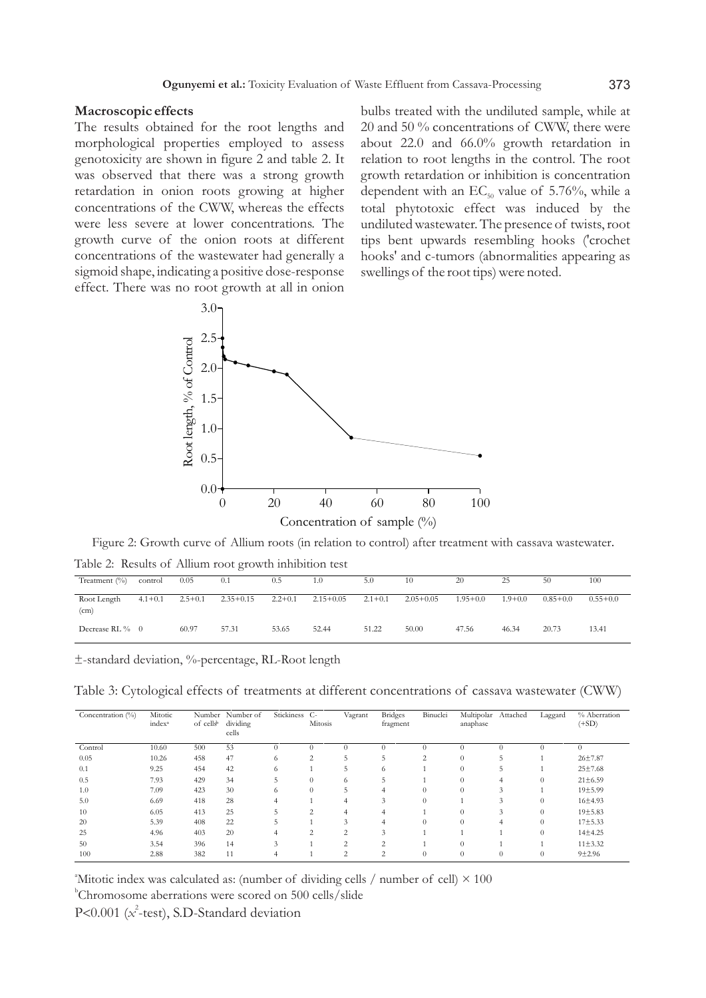### **Macroscopic effects**

The results obtained for the root lengths and morphological properties employed to assess genotoxicity are shown in figure 2 and table 2. It was observed that there was a strong growth retardation in onion roots growing at higher concentrations of the CWW, whereas the effects were less severe at lower concentrations. The growth curve of the onion roots at different concentrations of the wastewater had generally a sigmoid shape, indicating a positive dose-response effect. There was no root growth at all in onion bulbs treated with the undiluted sample, while at 20 and 50 % concentrations of CWW, there were about 22.0 and 66.0% growth retardation in relation to root lengths in the control. The root growth retardation or inhibition is concentration dependent with an  $EC_{50}$  value of 5.76%, while a total phytotoxic effect was induced by the undiluted wastewater. The presence of twists, root tips bent upwards resembling hooks ('crochet hooks' and c-tumors (abnormalities appearing as swellings of the root tips) were noted.



Figure 2: Growth curve of Allium roots (in relation to control) after treatment with cassava wastewater.

Table 2: Results of Allium root growth inhibition test

| Treatment $(\% )$   | control     | 0.05        | 0.1           | 0.5       | 1.0         | 5.0         | 10          | 20           | 25          | 50           | 100          |
|---------------------|-------------|-------------|---------------|-----------|-------------|-------------|-------------|--------------|-------------|--------------|--------------|
| Root Length<br>(cm) | $4.1 + 0.1$ | $2.5 + 0.1$ | $2.35 + 0.15$ | $2.2+0.1$ | $2.15+0.05$ | $2.1 + 0.1$ | $2.05+0.05$ | $1.95 + 0.0$ | $1.9 + 0.0$ | $0.85 + 0.0$ | $0.55 + 0.0$ |
| Decrease RL $\%$ 0  |             | 60.97       | 57.31         | 53.65     | 52.44       | 51.22       | 50.00       | 47.56        | 46.34       | 20.73        | 13.41        |

±-standard deviation, %-percentage, RL-Root length

Table 3: Cytological effects of treatments at different concentrations of cassava wastewater (CWW)

| Concentration $(\%)$ | Mitotic            |                       | Number Number of | Stickiness C- |                          | Vagrant        | <b>Bridges</b> | Binuclei | Multipolar   | Attached           | Laggard  | % Aberration  |
|----------------------|--------------------|-----------------------|------------------|---------------|--------------------------|----------------|----------------|----------|--------------|--------------------|----------|---------------|
|                      | index <sup>a</sup> | of cells <sup>b</sup> | dividing         |               | Mitosis                  |                | fragment       |          | anaphase     |                    |          | $(+SD)$       |
|                      |                    |                       | cells            |               |                          |                |                |          |              |                    |          |               |
| Control              | 10.60              | 500                   | 53               |               | $\Omega$                 | $\theta$       | $\Omega$       | $\Omega$ | $\theta$     |                    |          | $\theta$      |
| 0.05                 | 10.26              | 458                   | 47               | $\circ$       | 2                        | 5              | 5              | ◠<br>∠   |              | C                  |          | $26 + 7.87$   |
| 0.1                  | 9.25               | 454                   | 42               | $^{\circ}$    |                          | 5              | 6              |          | $\mathbf{0}$ | 5                  |          | 25±7.68       |
| 0.5                  | 7.93               | 429                   | 34               | 5             | $\Omega$                 | 6              | 5              |          | 0            | 4                  | 0        | $21 \pm 6.59$ |
| 1.0                  | 7.09               | 423                   | 30               |               | $\theta$                 | 5              | 4              | $\Omega$ | $\theta$     | 3                  |          | 19±5.99       |
| 5.0                  | 6.69               | 418                   | 28               |               |                          | 4              | 3              | $\Omega$ |              | $\mathbf{\hat{z}}$ | $\Omega$ | 16±4.93       |
| 10                   | 6.05               | 413                   | 25               |               | $\overline{\mathcal{L}}$ | 4              | 4              |          |              | 3                  |          | 19±5.83       |
| 20                   | 5.39               | 408                   | 22               | b             |                          | 3              | 4              | $\Omega$ | 0            | 4                  | $\Omega$ | $17 + 5.33$   |
| 25                   | 4.96               | 403                   | 20               |               | $\overline{\mathcal{L}}$ | 2              | 3              |          |              |                    |          | $14 + 4.25$   |
| 50                   | 3.54               | 396                   | 14               | 3             |                          | $\overline{2}$ | ◠              |          | $\Omega$     |                    |          | $11\pm3.32$   |
| 100                  | 2.88               | 382                   | 11               |               |                          | ◠              | $\Omega$       |          |              |                    |          | $9 + 2.96$    |
|                      |                    |                       |                  |               |                          |                |                |          |              |                    |          |               |

<sup>a</sup>Mitotic index was calculated as: (number of dividing cells / number of cell)  $\times$  100

b Chromosome aberrations were scored on 500 cells/slide

P<0.001 (*x*<sup>2</sup>-test), S.D-Standard deviation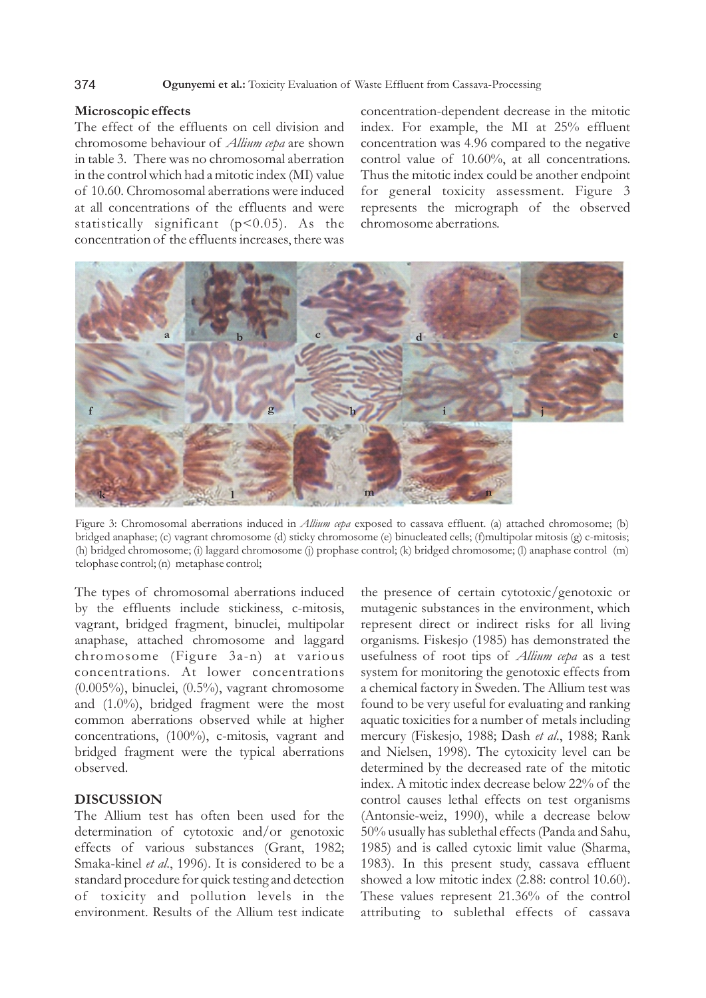#### 374 **Ogunyemi et al.:** Toxicity Evaluation of Waste Effluent from Cassava-Processing

## **Microscopic effects**

The effect of the effluents on cell division and chromosome behaviour of *Allium cepa* are shown in table 3. There was no chromosomal aberration in the control which had a mitotic index (MI) value of 10.60. Chromosomal aberrations were induced at all concentrations of the effluents and were statistically significant (p<0.05). As the concentration of the effluents increases, there was concentration-dependent decrease in the mitotic index. For example, the MI at 25% effluent concentration was 4.96 compared to the negative control value of 10.60%, at all concentrations. Thus the mitotic index could be another endpoint for general toxicity assessment. Figure 3 represents the micrograph of the observed chromosome aberrations.



Figure 3: Chromosomal aberrations induced in *Allium cepa* exposed to cassava effluent. (a) attached chromosome; (b) bridged anaphase; (c) vagrant chromosome (d) sticky chromosome (e) binucleated cells; (f)multipolar mitosis (g) c-mitosis; (h) bridged chromosome; (i) laggard chromosome (j) prophase control; (k) bridged chromosome; (l) anaphase control (m) telophase control; (n) metaphase control;

The types of chromosomal aberrations induced by the effluents include stickiness, c-mitosis, vagrant, bridged fragment, binuclei, multipolar anaphase, attached chromosome and laggard chromosome (Figure 3a-n) at various concentrations. At lower concentrations (0.005%), binuclei, (0.5%), vagrant chromosome and (1.0%), bridged fragment were the most common aberrations observed while at higher concentrations, (100%), c-mitosis, vagrant and bridged fragment were the typical aberrations observed.

# **DISCUSSION**

The Allium test has often been used for the determination of cytotoxic and/or genotoxic effects of various substances (Grant, 1982; Smaka-kinel *et al*., 1996). It is considered to be a standard procedure for quick testing and detection of toxicity and pollution levels in the environment. Results of the Allium test indicate the presence of certain cytotoxic/genotoxic or mutagenic substances in the environment, which represent direct or indirect risks for all living organisms. Fiskesjo (1985) has demonstrated the usefulness of root tips of *Allium cepa* as a test system for monitoring the genotoxic effects from a chemical factory in Sweden. The Allium test was found to be very useful for evaluating and ranking aquatic toxicities for a number of metals including mercury (Fiskesjo, 1988; Dash *et al*., 1988; Rank and Nielsen, 1998). The cytoxicity level can be determined by the decreased rate of the mitotic index. A mitotic index decrease below 22% of the control causes lethal effects on test organisms (Antonsie-weiz, 1990), while a decrease below 50% usually has sublethal effects (Panda and Sahu, 1985) and is called cytoxic limit value (Sharma, 1983). In this present study, cassava effluent showed a low mitotic index (2.88: control 10.60). These values represent 21.36% of the control attributing to sublethal effects of cassava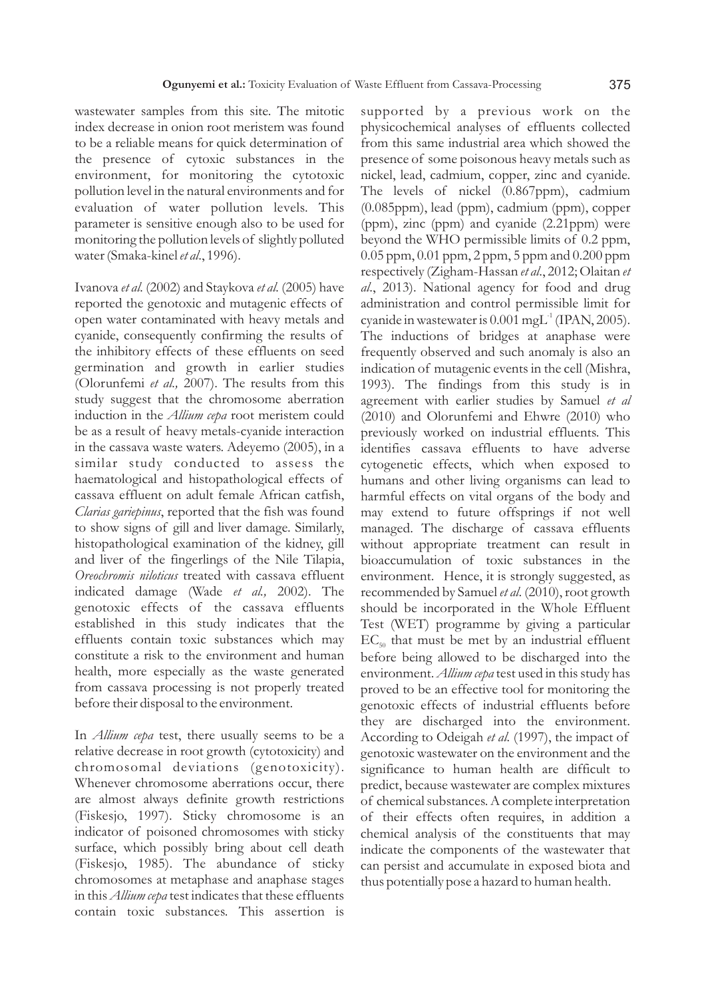wastewater samples from this site. The mitotic index decrease in onion root meristem was found to be a reliable means for quick determination of the presence of cytoxic substances in the environment, for monitoring the cytotoxic pollution level in the natural environments and for evaluation of water pollution levels. This parameter is sensitive enough also to be used for monitoring the pollution levels of slightly polluted water (Smaka-kinel *et al*., 1996).

Ivanova *et al.* (2002) and Staykova *et al.* (2005) have reported the genotoxic and mutagenic effects of open water contaminated with heavy metals and cyanide, consequently confirming the results of the inhibitory effects of these effluents on seed germination and growth in earlier studies (Olorunfemi *et al.,* 2007). The results from this study suggest that the chromosome aberration induction in the *Allium cepa* root meristem could be as a result of heavy metals-cyanide interaction in the cassava waste waters. Adeyemo (2005), in a similar study conducted to assess the haematological and histopathological effects of cassava effluent on adult female African catfish, *Clarias gariepinus*, reported that the fish was found to show signs of gill and liver damage. Similarly, histopathological examination of the kidney, gill and liver of the fingerlings of the Nile Tilapia, *Oreochromis niloticus* treated with cassava effluent indicated damage (Wade *et al.,* 2002). The genotoxic effects of the cassava effluents established in this study indicates that the effluents contain toxic substances which may constitute a risk to the environment and human health, more especially as the waste generated from cassava processing is not properly treated before their disposal to the environment.

In *Allium cepa* test, there usually seems to be a relative decrease in root growth (cytotoxicity) and chromosomal deviations (genotoxicity). Whenever chromosome aberrations occur, there are almost always definite growth restrictions (Fiskesjo, 1997). Sticky chromosome is an indicator of poisoned chromosomes with sticky surface, which possibly bring about cell death (Fiskesjo, 1985). The abundance of sticky chromosomes at metaphase and anaphase stages in this *Allium cepa* test indicates that these effluents contain toxic substances. This assertion is

supported by a previous work on the physicochemical analyses of effluents collected from this same industrial area which showed the presence of some poisonous heavy metals such as nickel, lead, cadmium, copper, zinc and cyanide. The levels of nickel (0.867ppm), cadmium (0.085ppm), lead (ppm), cadmium (ppm), copper (ppm), zinc (ppm) and cyanide (2.21ppm) were beyond the WHO permissible limits of 0.2 ppm, 0.05 ppm, 0.01 ppm, 2 ppm, 5 ppm and 0.200 ppm respectively (Zigham-Hassan *et al*., 2012; Olaitan *et al*., 2013). National agency for food and drug administration and control permissible limit for cyanide in wastewater is  $0.001$  mgL<sup>-1</sup> (IPAN, 2005). The inductions of bridges at anaphase were frequently observed and such anomaly is also an indication of mutagenic events in the cell (Mishra, 1993). The findings from this study is in agreement with earlier studies by Samuel *et al* (2010) and Olorunfemi and Ehwre (2010) who previously worked on industrial effluents. This identifies cassava effluents to have adverse cytogenetic effects, which when exposed to humans and other living organisms can lead to harmful effects on vital organs of the body and may extend to future offsprings if not well managed. The discharge of cassava effluents without appropriate treatment can result in bioaccumulation of toxic substances in the environment. Hence, it is strongly suggested, as recommended by Samuel *et al*. (2010), root growth should be incorporated in the Whole Effluent Test (WET) programme by giving a particular  $EC_{50}$  that must be met by an industrial effluent before being allowed to be discharged into the environment. *Allium cepa* test used in this study has proved to be an effective tool for monitoring the genotoxic effects of industrial effluents before they are discharged into the environment. According to Odeigah *et al.* (1997), the impact of genotoxic wastewater on the environment and the significance to human health are difficult to predict, because wastewater are complex mixtures of chemical substances. A complete interpretation of their effects often requires, in addition a chemical analysis of the constituents that may indicate the components of the wastewater that can persist and accumulate in exposed biota and thus potentially pose a hazard to human health.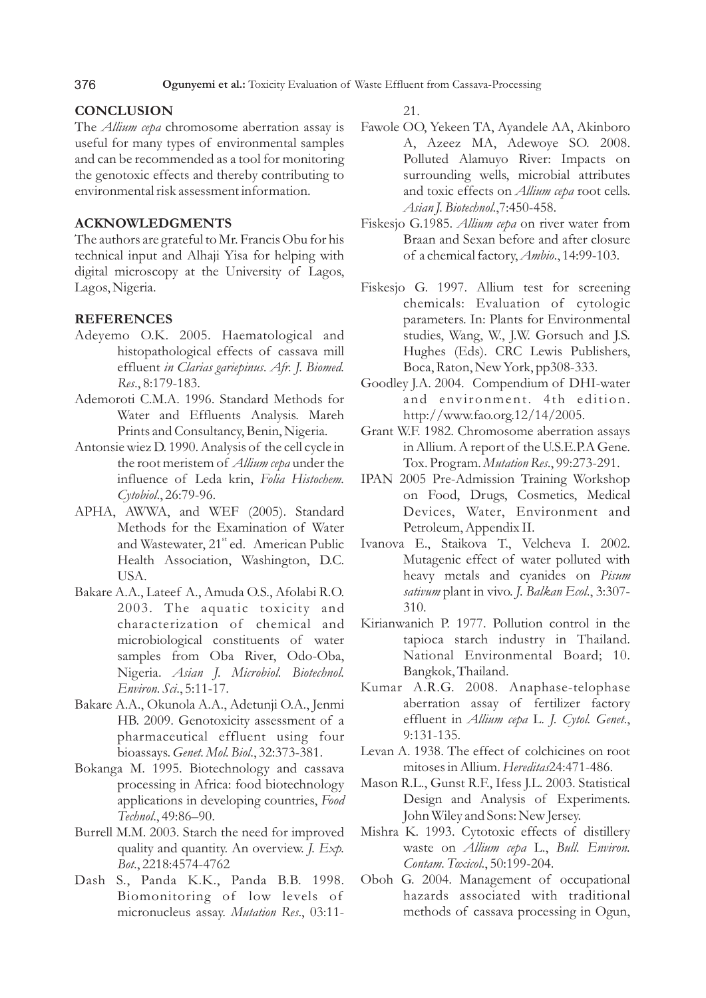# **CONCLUSION**

376

The *Allium cepa* chromosome aberration assay is useful for many types of environmental samples and can be recommended as a tool for monitoring the genotoxic effects and thereby contributing to environmental risk assessment information.

## **ACKNOWLEDGMENTS**

The authors are grateful to Mr. Francis Obu for his technical input and Alhaji Yisa for helping with digital microscopy at the University of Lagos, Lagos, Nigeria.

### **REFERENCES**

- Adeyemo O.K. 2005. Haematological and histopathological effects of cassava mill effluent *in Clarias gariepinus*. *Afr. J. Biomed. Res*., 8:179-183.
- Ademoroti C.M.A. 1996. Standard Methods for Water and Effluents Analysis. Mareh Prints and Consultancy, Benin, Nigeria.
- Antonsie wiez D. 1990. Analysis of the cell cycle in the root meristem of *Allium cepa* under the influence of Leda krin, *Folia Histochem. Cytobiol*., 26:79-96.
- APHA, AWWA, and WEF (2005). Standard Methods for the Examination of Water and Wastewater, 21<sup>st</sup> ed. American Public Health Association, Washington, D.C. USA.
- Bakare A.A., Lateef A., Amuda O.S., Afolabi R.O. 2003. The aquatic toxicity and characterization of chemical and microbiological constituents of water samples from Oba River, Odo-Oba, Nigeria. *Asian J. Microbiol. Biotechnol. Environ. Sci*., 5:11-17.
- Bakare A.A., Okunola A.A., Adetunji O.A., Jenmi HB. 2009. Genotoxicity assessment of a pharmaceutical effluent using four bioassays. *Genet. Mol. Biol*., 32:373-381.
- Bokanga M. 1995. Biotechnology and cassava processing in Africa: food biotechnology applications in developing countries, *Food Technol*., 49:86–90.
- Burrell M.M. 2003. Starch the need for improved quality and quantity. An overview. *J. Exp. Bot*., 2218:4574-4762
- Dash S., Panda K.K., Panda B.B. 1998. Biomonitoring of low levels of micronucleus assay. *Mutation Res*., 03:11-

21.

- Fawole OO, Yekeen TA, Ayandele AA, Akinboro A, Azeez MA, Adewoye SO. 2008. Polluted Alamuyo River: Impacts on surrounding wells, microbial attributes and toxic effects on *Allium cepa* root cells. *Asian J. Biotechnol*.,7:450-458.
- Fiskesjo G.1985. *Allium cepa* on river water from Braan and Sexan before and after closure of a chemical factory, *Ambio*., 14:99-103.
- Fiskesjo G. 1997. Allium test for screening chemicals: Evaluation of cytologic parameters. In: Plants for Environmental studies, Wang, W., J.W. Gorsuch and J.S. Hughes (Eds). CRC Lewis Publishers, Boca, Raton, New York, pp308-333.
- Goodley J.A. 2004. Compendium of DHI-water and environment. 4th edition. http://www.fao.org.12/14/2005.
- Grant W.F. 1982. Chromosome aberration assays in Allium. A report of the U.S.E.P.A Gene. Tox. Program. *Mutation Res*., 99:273-291.
- IPAN 2005 Pre-Admission Training Workshop on Food, Drugs, Cosmetics, Medical Devices, Water, Environment and Petroleum, Appendix II.
- Ivanova E., Staikova T., Velcheva I. 2002. Mutagenic effect of water polluted with heavy metals and cyanides on *Pisum sativum* plant in vivo. *J. Balkan Ecol*., 3:307- 310.
- Kirianwanich P. 1977. Pollution control in the tapioca starch industry in Thailand. National Environmental Board; 10. Bangkok, Thailand.
- Kumar A.R.G. 2008. Anaphase-telophase aberration assay of fertilizer factory effluent in *Allium cepa* L. *J. Cytol. Genet*., 9:131-135.
- Levan A. 1938. The effect of colchicines on root mitoses in Allium. *Hereditas*24:471-486.
- Mason R.L., Gunst R.F., Ifess J.L. 2003. Statistical Design and Analysis of Experiments. John Wiley and Sons: New Jersey.
- Mishra K. 1993. Cytotoxic effects of distillery waste on *Allium cepa* L., *Bull. Environ. Contam. Toxicol*., 50:199-204.
- Oboh G. 2004. Management of occupational hazards associated with traditional methods of cassava processing in Ogun,